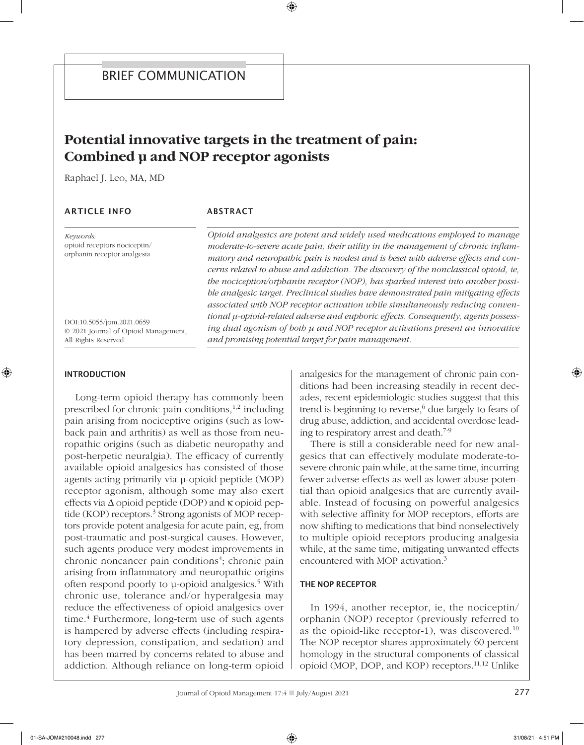# **Potential innovative targets in the treatment of pain: Combined μ and NOP receptor agonists**

Raphael J. Leo, MA, MD

## **ARTICLE INFO**

# ABSTRACT

*Keywords:* opioid receptors nociceptin/ orphanin receptor analgesia

DOI:10.5055/jom.2021.0659 © 2021 Journal of Opioid Management, All Rights Reserved.

*Opioid analgesics are potent and widely used medications employed to manage moderate-to-severe acute pain; their utility in the management of chronic inflammatory and neuropathic pain is modest and is beset with adverse effects and concerns related to abuse and addiction. The discovery of the nonclassical opioid, ie, the nociception/orphanin receptor (NOP), has sparked interest into another possible analgesic target. Preclinical studies have demonstrated pain mitigating effects associated with NOP receptor activation while simultaneously reducing conventional μ-opioid-related adverse and euphoric effects. Consequently, agents possessing dual agonism of both μ and NOP receptor activations present an innovative and promising potential target for pain management.*

#### INTRODUCTION

Long-term opioid therapy has commonly been prescribed for chronic pain conditions, $1,2$  including pain arising from nociceptive origins (such as lowback pain and arthritis) as well as those from neuropathic origins (such as diabetic neuropathy and post-herpetic neuralgia). The efficacy of currently available opioid analgesics has consisted of those agents acting primarily via μ-opioid peptide (MOP) receptor agonism, although some may also exert effects via  $\Delta$  opioid peptide (DOP) and  $\kappa$  opioid peptide (KOP) receptors.<sup>3</sup> Strong agonists of MOP receptors provide potent analgesia for acute pain, eg, from post-traumatic and post-surgical causes. However, such agents produce very modest improvements in chronic noncancer pain conditions<sup>4</sup>; chronic pain arising from inflammatory and neuropathic origins often respond poorly to μ-opioid analgesics.5 With chronic use, tolerance and/or hyperalgesia may reduce the effectiveness of opioid analgesics over time. $4$  Furthermore, long-term use of such agents is hampered by adverse effects (including respiratory depression, constipation, and sedation) and has been marred by concerns related to abuse and addiction. Although reliance on long-term opioid analgesics for the management of chronic pain conditions had been increasing steadily in recent decades, recent epidemiologic studies suggest that this trend is beginning to reverse, $6$  due largely to fears of drug abuse, addiction, and accidental overdose leading to respiratory arrest and death.7-9

There is still a considerable need for new analgesics that can effectively modulate moderate-tosevere chronic pain while, at the same time, incurring fewer adverse effects as well as lower abuse potential than opioid analgesics that are currently available. Instead of focusing on powerful analgesics with selective affinity for MOP receptors, efforts are now shifting to medications that bind nonselectively to multiple opioid receptors producing analgesia while, at the same time, mitigating unwanted effects encountered with MOP activation.3

#### THE NOP RECEPTOR

In 1994, another receptor, ie, the nociceptin/ orphanin (NOP) receptor (previously referred to as the opioid-like receptor-1), was discovered.10 The NOP receptor shares approximately 60 percent homology in the structural components of classical opioid (MOP, DOP, and KOP) receptors.11,12 Unlike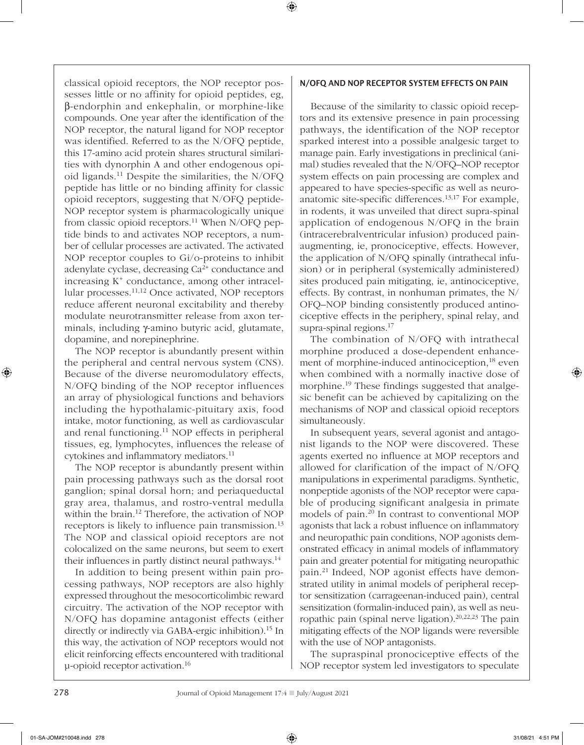classical opioid receptors, the NOP receptor possesses little or no affinity for opioid peptides, eg, β-endorphin and enkephalin, or morphine-like compounds. One year after the identification of the NOP receptor, the natural ligand for NOP receptor was identified. Referred to as the N/OFQ peptide, this 17-amino acid protein shares structural similarities with dynorphin A and other endogenous opioid ligands.<sup>11</sup> Despite the similarities, the  $N/OFO$ peptide has little or no binding affinity for classic opioid receptors, suggesting that N/OFQ peptide-NOP receptor system is pharmacologically unique from classic opioid receptors.<sup>11</sup> When N/OFQ peptide binds to and activates NOP receptors, a number of cellular processes are activated. The activated NOP receptor couples to Gi/o-proteins to inhibit adenylate cyclase, decreasing  $Ca<sup>2+</sup>$  conductance and increasing  $K^+$  conductance, among other intracellular processes.11,12 Once activated, NOP receptors reduce afferent neuronal excitability and thereby modulate neurotransmitter release from axon terminals, including γ-amino butyric acid, glutamate, dopamine, and norepinephrine.

The NOP receptor is abundantly present within the peripheral and central nervous system (CNS). Because of the diverse neuromodulatory effects, N/OFQ binding of the NOP receptor influences an array of physiological functions and behaviors including the hypothalamic-pituitary axis, food intake, motor functioning, as well as cardiovascular and renal functioning.11 NOP effects in peripheral tissues, eg, lymphocytes, influences the release of cytokines and inflammatory mediators.<sup>11</sup>

The NOP receptor is abundantly present within pain processing pathways such as the dorsal root ganglion; spinal dorsal horn; and periaqueductal gray area, thalamus, and rostro-ventral medulla within the brain.12 Therefore, the activation of NOP receptors is likely to influence pain transmission.<sup>13</sup> The NOP and classical opioid receptors are not colocalized on the same neurons, but seem to exert their influences in partly distinct neural pathways.<sup>14</sup>

In addition to being present within pain processing pathways, NOP receptors are also highly expressed throughout the mesocorticolimbic reward circuitry. The activation of the NOP receptor with N/OFQ has dopamine antagonist effects (either directly or indirectly via GABA-ergic inhibition).<sup>15</sup> In this way, the activation of NOP receptors would not elicit reinforcing effects encountered with traditional μ-opioid receptor activation.16

# N/OFQ AND NOP RECEPTOR SYSTEM EFFECTS ON PAIN

Because of the similarity to classic opioid receptors and its extensive presence in pain processing pathways, the identification of the NOP receptor sparked interest into a possible analgesic target to manage pain. Early investigations in preclinical (animal) studies revealed that the N/OFQ–NOP receptor system effects on pain processing are complex and appeared to have species-specific as well as neuroanatomic site-specific differences.13,17 For example, in rodents, it was unveiled that direct supra-spinal application of endogenous N/OFQ in the brain (intracerebralventricular infusion) produced painaugmenting, ie, pronociceptive, effects. However, the application of N/OFQ spinally (intrathecal infusion) or in peripheral (systemically administered) sites produced pain mitigating, ie, antinociceptive, effects. By contrast, in nonhuman primates, the N/ OFQ–NOP binding consistently produced antinociceptive effects in the periphery, spinal relay, and supra-spinal regions.<sup>17</sup>

The combination of N/OFQ with intrathecal morphine produced a dose-dependent enhancement of morphine-induced antinociception,<sup>18</sup> even when combined with a normally inactive dose of morphine.19 These findings suggested that analgesic benefit can be achieved by capitalizing on the mechanisms of NOP and classical opioid receptors simultaneously.

In subsequent years, several agonist and antagonist ligands to the NOP were discovered. These agents exerted no influence at MOP receptors and allowed for clarification of the impact of N/OFQ manipulations in experimental paradigms. Synthetic, nonpeptide agonists of the NOP receptor were capable of producing significant analgesia in primate models of pain.20 In contrast to conventional MOP agonists that lack a robust influence on inflammatory and neuropathic pain conditions, NOP agonists demonstrated efficacy in animal models of inflammatory pain and greater potential for mitigating neuropathic pain.21 Indeed, NOP agonist effects have demonstrated utility in animal models of peripheral receptor sensitization (carrageenan-induced pain), central sensitization (formalin-induced pain), as well as neuropathic pain (spinal nerve ligation).<sup>20,22,23</sup> The pain mitigating effects of the NOP ligands were reversible with the use of NOP antagonists.

The supraspinal pronociceptive effects of the NOP receptor system led investigators to speculate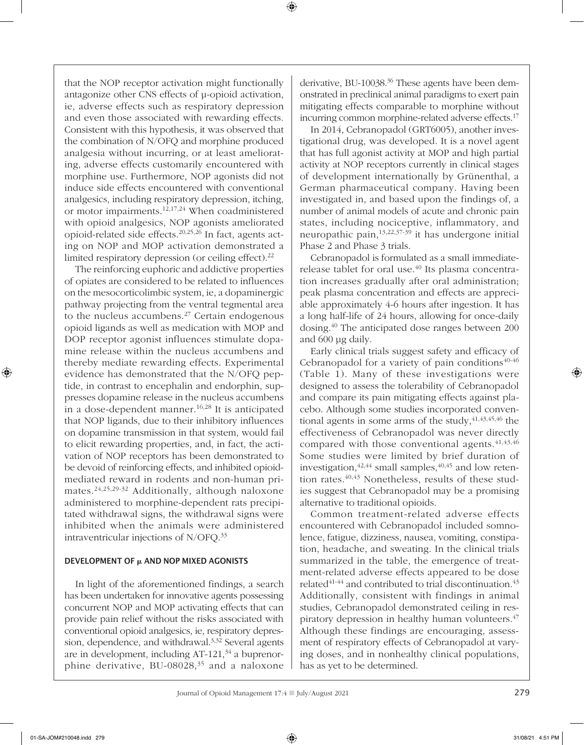that the NOP receptor activation might functionally antagonize other CNS effects of μ-opioid activation, ie, adverse effects such as respiratory depression and even those associated with rewarding effects. Consistent with this hypothesis, it was observed that the combination of N/OFQ and morphine produced analgesia without incurring, or at least ameliorating, adverse effects customarily encountered with morphine use. Furthermore, NOP agonists did not induce side effects encountered with conventional analgesics, including respiratory depression, itching, or motor impairments.12,17,24 When coadministered with opioid analgesics, NOP agonists ameliorated opioid-related side effects.20,25,26 In fact, agents acting on NOP and MOP activation demonstrated a limited respiratory depression (or ceiling effect).22

The reinforcing euphoric and addictive properties of opiates are considered to be related to influences on the mesocorticolimbic system, ie, a dopaminergic pathway projecting from the ventral tegmental area to the nucleus accumbens.<sup>27</sup> Certain endogenous opioid ligands as well as medication with MOP and DOP receptor agonist influences stimulate dopamine release within the nucleus accumbens and thereby mediate rewarding effects. Experimental evidence has demonstrated that the N/OFQ peptide, in contrast to encephalin and endorphin, suppresses dopamine release in the nucleus accumbens in a dose-dependent manner.16,28 It is anticipated that NOP ligands, due to their inhibitory influences on dopamine transmission in that system, would fail to elicit rewarding properties, and, in fact, the activation of NOP receptors has been demonstrated to be devoid of reinforcing effects, and inhibited opioidmediated reward in rodents and non-human primates.24,25,29-32 Additionally, although naloxone administered to morphine-dependent rats precipitated withdrawal signs, the withdrawal signs were inhibited when the animals were administered intraventricular injections of N/OFQ.33

#### DEVELOPMENT OF µ AND NOP MIXED AGONISTS

In light of the aforementioned findings, a search has been undertaken for innovative agents possessing concurrent NOP and MOP activating effects that can provide pain relief without the risks associated with conventional opioid analgesics, ie, respiratory depression, dependence, and withdrawal.<sup>3,32</sup> Several agents are in development, including  $AT-121$ ,  $34$  a buprenorphine derivative, BU-08028,<sup>35</sup> and a naloxone derivative, BU-10038.<sup>36</sup> These agents have been demonstrated in preclinical animal paradigms to exert pain mitigating effects comparable to morphine without incurring common morphine-related adverse effects.17

In 2014, Cebranopadol (GRT6005), another investigational drug, was developed. It is a novel agent that has full agonist activity at MOP and high partial activity at NOP receptors currently in clinical stages of development internationally by Grünenthal, a German pharmaceutical company. Having been investigated in, and based upon the findings of, a number of animal models of acute and chronic pain states, including nociceptive, inflammatory, and neuropathic pain,  $13,22,37-39$  it has undergone initial Phase 2 and Phase 3 trials.

Cebranopadol is formulated as a small immediaterelease tablet for oral use.<sup>40</sup> Its plasma concentration increases gradually after oral administration; peak plasma concentration and effects are appreciable approximately 4-6 hours after ingestion. It has a long half-life of 24 hours, allowing for once-daily dosing.40 The anticipated dose ranges between 200 and 600 μg daily.

Early clinical trials suggest safety and efficacy of Cebranopadol for a variety of pain conditions $40-46$ (Table 1). Many of these investigations were designed to assess the tolerability of Cebranopadol and compare its pain mitigating effects against placebo. Although some studies incorporated conventional agents in some arms of the study,  $41,43,45,46$  the effectiveness of Cebranopadol was never directly compared with those conventional agents.  $41,43,46$ Some studies were limited by brief duration of investigation,  $42,44$  small samples,  $40,45$  and low retention rates.<sup>40,43</sup> Nonetheless, results of these studies suggest that Cebranopadol may be a promising alternative to traditional opioids.

Common treatment-related adverse effects encountered with Cebranopadol included somnolence, fatigue, dizziness, nausea, vomiting, constipation, headache, and sweating. In the clinical trials summarized in the table, the emergence of treatment-related adverse effects appeared to be dose related<sup>41-44</sup> and contributed to trial discontinuation.<sup>43</sup> Additionally, consistent with findings in animal studies, Cebranopadol demonstrated ceiling in respiratory depression in healthy human volunteers.<sup>47</sup> Although these findings are encouraging, assessment of respiratory effects of Cebranopadol at varying doses, and in nonhealthy clinical populations, has as yet to be determined.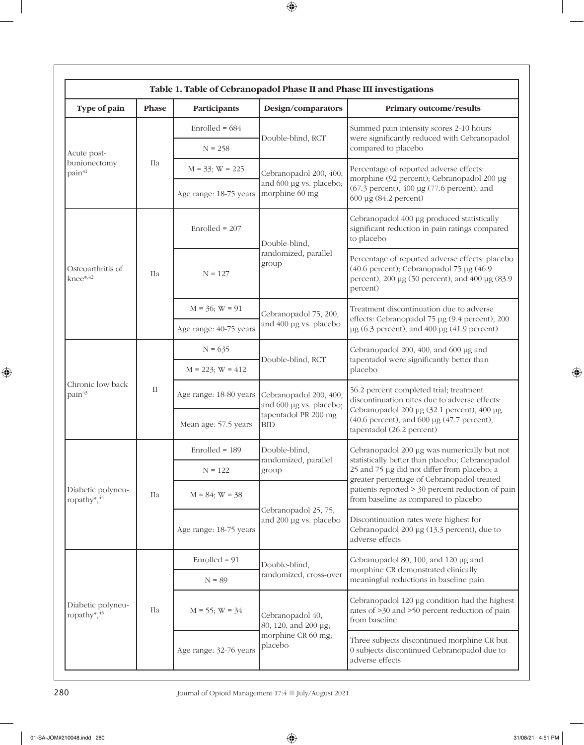| Table 1. Table of Cebranopadol Phase II and Phase III investigations |          |                        |                                                                                         |                                                                                                                                                                                                                                                                                         |  |  |  |
|----------------------------------------------------------------------|----------|------------------------|-----------------------------------------------------------------------------------------|-----------------------------------------------------------------------------------------------------------------------------------------------------------------------------------------------------------------------------------------------------------------------------------------|--|--|--|
| Type of pain                                                         | Phase    | Participants           | Design/comparators                                                                      | Primary outcome/results                                                                                                                                                                                                                                                                 |  |  |  |
| Acute post-<br>bunionectomy<br>pain <sup>41</sup>                    | Шa       | Enrolled = $684$       | Double-blind, RCT                                                                       | Summed pain intensity scores 2-10 hours<br>were significantly reduced with Cebranopadol<br>compared to placebo                                                                                                                                                                          |  |  |  |
|                                                                      |          | $N = 258$              |                                                                                         |                                                                                                                                                                                                                                                                                         |  |  |  |
|                                                                      |          | $M = 33$ ; $W = 225$   | Cebranopadol 200, 400,<br>and 600 µg vs. placebo;<br>morphine 60 mg                     | Percentage of reported adverse effects:<br>morphine (92 percent); Cebranopadol 200 µg<br>(67.3 percent), 400 µg (77.6 percent), and<br>600 µg (84.2 percent)                                                                                                                            |  |  |  |
|                                                                      |          | Age range: 18-75 years |                                                                                         |                                                                                                                                                                                                                                                                                         |  |  |  |
| Osteoarthritis of<br>knee*,42                                        | Шa       | $Enrolled = 207$       | Double-blind,<br>randomized, parallel<br>group                                          | Cebranopadol 400 µg produced statistically<br>significant reduction in pain ratings compared<br>to placebo                                                                                                                                                                              |  |  |  |
|                                                                      |          | $N = 127$              |                                                                                         | Percentage of reported adverse effects: placebo<br>(40.6 percent); Cebranopadol 75 µg (46.9)<br>percent), 200 µg (50 percent), and 400 µg (83.9)<br>percent)                                                                                                                            |  |  |  |
|                                                                      |          | $M = 36$ ; $W = 91$    | Cebranopadol 75, 200,<br>and 400 µg vs. placebo                                         | Treatment discontinuation due to adverse<br>effects: Cebranopadol 75 µg (9.4 percent), 200<br>$\mu$ g (6.3 percent), and 400 $\mu$ g (41.9 percent)                                                                                                                                     |  |  |  |
|                                                                      |          | Age range: 40-75 years |                                                                                         |                                                                                                                                                                                                                                                                                         |  |  |  |
| Chronic low back<br>pain <sup>43</sup>                               | $\rm II$ | $N = 635$              | Double-blind, RCT                                                                       | Cebranopadol 200, 400, and 600 µg and<br>tapentadol were significantly better than<br>placebo                                                                                                                                                                                           |  |  |  |
|                                                                      |          | $M = 223$ ; $W = 412$  |                                                                                         |                                                                                                                                                                                                                                                                                         |  |  |  |
|                                                                      |          | Age range: 18-80 years | Cebranopadol 200, 400,<br>and 600 µg vs. placebo;<br>tapentadol PR 200 mg<br><b>BID</b> | 56.2 percent completed trial; treatment<br>discontinuation rates due to adverse effects:<br>Cebranopadol 200 µg (32.1 percent), 400 µg<br>(40.6 percent), and 600 µg (47.7 percent),<br>tapentadol (26.2 percent)                                                                       |  |  |  |
|                                                                      |          | Mean age: 57.5 years   |                                                                                         |                                                                                                                                                                                                                                                                                         |  |  |  |
| Diabetic polyneu-<br>ropathy*,44                                     | Шa       | $Enrolled = 189$       | Double-blind,<br>randomized, parallel<br>group                                          | Cebranopadol 200 µg was numerically but not<br>statistically better than placebo; Cebranopadol<br>25 and 75 µg did not differ from placebo; a<br>greater percentage of Cebranopadol-treated<br>patients reported > 30 percent reduction of pain<br>from baseline as compared to placebo |  |  |  |
|                                                                      |          | $N = 122$              |                                                                                         |                                                                                                                                                                                                                                                                                         |  |  |  |
|                                                                      |          | $M = 84$ ; $W = 38$    | Cebranopadol 25, 75,<br>and 200 µg vs. placebo                                          |                                                                                                                                                                                                                                                                                         |  |  |  |
|                                                                      |          | Age range: 18-75 years |                                                                                         | Discontinuation rates were highest for<br>Cebranopadol 200 µg (13.3 percent), due to<br>adverse effects                                                                                                                                                                                 |  |  |  |
| Diabetic polyneu-<br>ropathy $\ast$ , $45$                           | Шa       | $Enrolled = 91$        | Double-blind,<br>randomized, cross-over                                                 | Cebranopadol 80, 100, and 120 µg and<br>morphine CR demonstrated clinically<br>meaningful reductions in baseline pain                                                                                                                                                                   |  |  |  |
|                                                                      |          | $N = 89$               |                                                                                         |                                                                                                                                                                                                                                                                                         |  |  |  |
|                                                                      |          | $M = 55$ ; $W = 34$    | Cebranopadol 40,<br>80, 120, and 200 µg;<br>morphine CR 60 mg;<br>placebo               | Cebranopadol 120 µg condition had the highest<br>rates of >30 and >50 percent reduction of pain<br>from baseline                                                                                                                                                                        |  |  |  |
|                                                                      |          | Age range: 32-76 years |                                                                                         | Three subjects discontinued morphine CR but<br>0 subjects discontinued Cebranopadol due to<br>adverse effects                                                                                                                                                                           |  |  |  |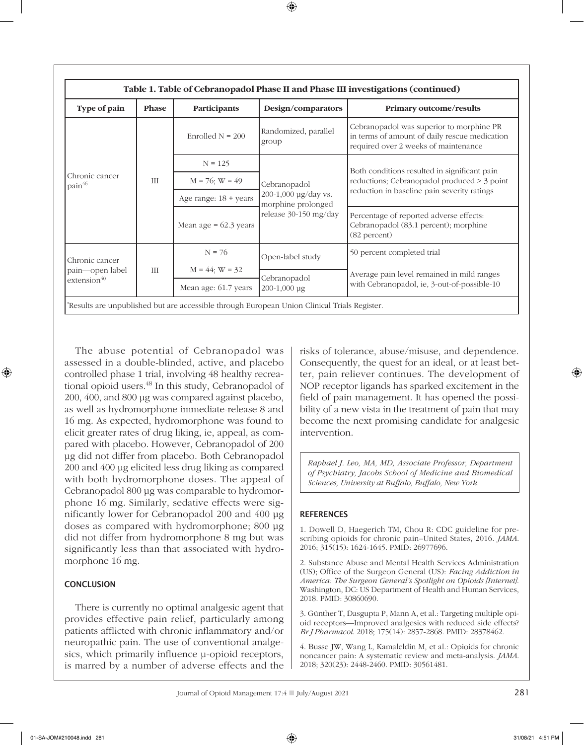| Table 1. Table of Cebranopadol Phase II and Phase III investigations (continued) |              |                                |                                                                                             |                                                                                                                                            |  |  |  |
|----------------------------------------------------------------------------------|--------------|--------------------------------|---------------------------------------------------------------------------------------------|--------------------------------------------------------------------------------------------------------------------------------------------|--|--|--|
| Type of pain                                                                     | <b>Phase</b> | Participants                   | Design/comparators                                                                          | <b>Primary outcome/results</b>                                                                                                             |  |  |  |
| Chronic cancer<br>pain <sup>46</sup>                                             | <b>III</b>   | Enrolled $N = 200$             | Randomized, parallel<br>group                                                               | Cebranopadol was superior to morphine PR<br>in terms of amount of daily rescue medication<br>required over 2 weeks of maintenance          |  |  |  |
|                                                                                  |              | $N = 125$                      | Cebranopadol<br>200-1,000 µg/day vs.<br>morphine prolonged<br>release 30-150 mg/day         | Both conditions resulted in significant pain<br>reductions; Cebranopadol produced > 3 point<br>reduction in baseline pain severity ratings |  |  |  |
|                                                                                  |              | $M = 76$ ; $W = 49$            |                                                                                             |                                                                                                                                            |  |  |  |
|                                                                                  |              | Age range: $18 + \text{years}$ |                                                                                             |                                                                                                                                            |  |  |  |
|                                                                                  |              | Mean age $= 62.3$ years        |                                                                                             | Percentage of reported adverse effects:<br>Cebranopadol (83.1 percent); morphine<br>(82 percent)                                           |  |  |  |
| Chronic cancer<br>pain—open label<br>extension <sup>40</sup>                     | Ш            | $N = 76$                       | Open-label study<br>Cebranopadol<br>200-1,000 µg                                            | 50 percent completed trial                                                                                                                 |  |  |  |
|                                                                                  |              | $M = 44$ ; $W = 32$            |                                                                                             | Average pain level remained in mild ranges<br>with Cebranopadol, ie, 3-out-of-possible-10                                                  |  |  |  |
|                                                                                  |              | Mean age: 61.7 years           |                                                                                             |                                                                                                                                            |  |  |  |
|                                                                                  |              |                                | Results are unpublished but are accessible through European Union Clinical Trials Register. |                                                                                                                                            |  |  |  |

The abuse potential of Cebranopadol was assessed in a double-blinded, active, and placebo controlled phase 1 trial, involving 48 healthy recreational opioid users.<sup>48</sup> In this study, Cebranopadol of 200, 400, and 800 μg was compared against placebo, as well as hydromorphone immediate-release 8 and 16 mg. As expected, hydromorphone was found to elicit greater rates of drug liking, ie, appeal, as compared with placebo. However, Cebranopadol of 200 μg did not differ from placebo. Both Cebranopadol 200 and 400 μg elicited less drug liking as compared with both hydromorphone doses. The appeal of Cebranopadol 800 μg was comparable to hydromorphone 16 mg. Similarly, sedative effects were significantly lower for Cebranopadol 200 and 400 μg doses as compared with hydromorphone; 800 μg did not differ from hydromorphone 8 mg but was significantly less than that associated with hydromorphone 16 mg.

## **CONCLUSION**

There is currently no optimal analgesic agent that provides effective pain relief, particularly among patients afflicted with chronic inflammatory and/or neuropathic pain. The use of conventional analgesics, which primarily influence μ-opioid receptors, is marred by a number of adverse effects and the

risks of tolerance, abuse/misuse, and dependence. Consequently, the quest for an ideal, or at least better, pain reliever continues. The development of NOP receptor ligands has sparked excitement in the field of pain management. It has opened the possibility of a new vista in the treatment of pain that may become the next promising candidate for analgesic intervention.

*Raphael J. Leo, MA, MD, Associate Professor, Department of Psychiatry, Jacobs School of Medicine and Biomedical Sciences, University at Buffalo, Buffalo, New York.*

## **REFERENCES**

1. Dowell D, Haegerich TM, Chou R: CDC guideline for prescribing opioids for chronic pain–United States, 2016. *JAMA*. 2016; 315(15): 1624-1645. PMID: 26977696.

2. Substance Abuse and Mental Health Services Administration (US); Office of the Surgeon General (US): *Facing Addiction in America: The Surgeon General's Spotlight on Opioids [Internet]*. Washington, DC: US Department of Health and Human Services, 2018. PMID: 30860690.

3. Günther T, Dasgupta P, Mann A, et al.: Targeting multiple opioid receptors—Improved analgesics with reduced side effects? *Br J Pharmacol*. 2018; 175(14): 2857-2868. PMID: 28378462.

4. Busse JW, Wang L, Kamaleldin M, et al.: Opioids for chronic noncancer pain: A systematic review and meta-analysis. *JAMA*. 2018; 320(23): 2448-2460. PMID: 30561481.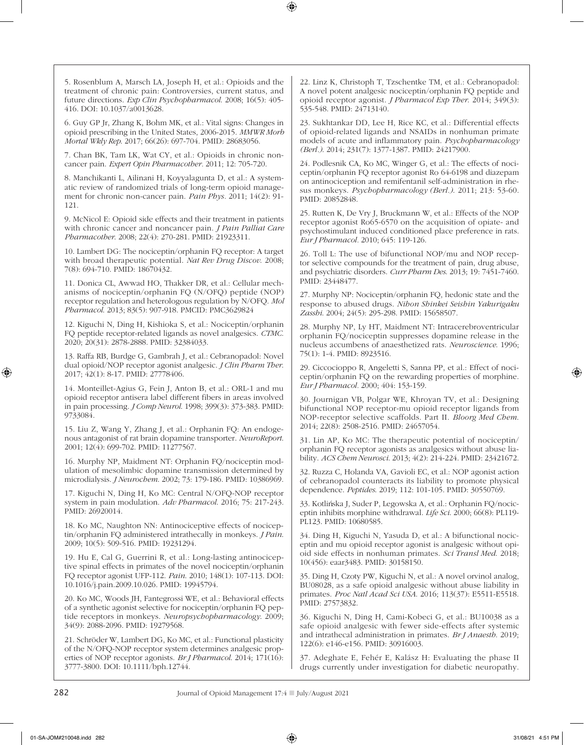5. Rosenblum A, Marsch LA, Joseph H, et al.: Opioids and the treatment of chronic pain: Controversies, current status, and future directions. *Exp Clin Psychopharmacol*. 2008; 16(5): 405- 416. DOI: 10.1037/a0013628.

6. Guy GP Jr, Zhang K, Bohm MK, et al.: Vital signs: Changes in opioid prescribing in the United States, 2006-2015. *MMWR Morb Mortal Wkly Rep*. 2017; 66(26): 697-704. PMID: 28683056.

7. Chan BK, Tam LK, Wat CY, et al.: Opioids in chronic noncancer pain. *Expert Opin Pharmacother.* 2011; 12: 705-720.

8. Manchikanti L, Ailinani H, Koyyalagunta D, et al.: A systematic review of randomized trials of long-term opioid management for chronic non-cancer pain. *Pain Phys.* 2011; 14(2): 91- 121.

9. McNicol E: Opioid side effects and their treatment in patients with chronic cancer and noncancer pain. *J Pain Palliat Care Pharmacother*. 2008; 22(4): 270-281. PMID: 21923311.

10. Lambert DG: The nociceptin/orphanin FQ receptor: A target with broad therapeutic potential. *Nat Rev Drug Discov*. 2008; 7(8): 694-710. PMID: 18670432.

11. Donica CL, Awwad HO, Thakker DR, et al.: Cellular mechanisms of nociceptin/orphanin FQ (N/OFQ) peptide (NOP) receptor regulation and heterologous regulation by N/OFQ. *Mol Pharmacol*. 2013; 83(5): 907-918. PMCID: PMC3629824

12. Kiguchi N, Ding H, Kishioka S, et al.: Nociceptin/orphanin FQ peptide receptor-related ligands as novel analgesics. *CTMC*. 2020; 20(31): 2878-2888. PMID: 32384033.

13. Raffa RB, Burdge G, Gambrah J, et al.: Cebranopadol: Novel dual opioid/NOP receptor agonist analgesic. *J Clin Pharm Ther*. 2017; 42(1): 8-17. PMID: 27778406.

14. Monteillet-Agius G, Fein J, Anton B, et al.: ORL-1 and mu opioid receptor antisera label different fibers in areas involved in pain processing. *J Comp Neurol*. 1998; 399(3): 373-383. PMID: 9733084.

15. Liu Z, Wang Y, Zhang J, et al.: Orphanin FQ: An endogenous antagonist of rat brain dopamine transporter. *NeuroReport*. 2001; 12(4): 699-702. PMID: 11277567.

16. Murphy NP, Maidment NT: Orphanin FQ/nociceptin modulation of mesolimbic dopamine transmission determined by microdialysis. *J Neurochem*. 2002; 73: 179-186. PMID: 10386969.

17. Kiguchi N, Ding H, Ko MC: Central N/OFQ-NOP receptor system in pain modulation. *Adv Pharmacol*. 2016; 75: 217-243. PMID: 26920014.

18. Ko MC, Naughton NN: Antinociceptive effects of nociceptin/orphanin FQ administered intrathecally in monkeys. *J Pain*. 2009; 10(5): 509-516. PMID: 19231294.

19. Hu E, Cal G, Guerrini R, et al.: Long-lasting antinociceptive spinal effects in primates of the novel nociceptin/orphanin FQ receptor agonist UFP-112. *Pain*. 2010; 148(1): 107-113. DOI: 10.1016/j.pain.2009.10.026. PMID: 19945794.

20. Ko MC, Woods JH, Fantegrossi WE, et al.: Behavioral effects of a synthetic agonist selective for nociceptin/orphanin FQ peptide receptors in monkeys. *Neuropsychopharmacology*. 2009; 34(9): 2088-2096. PMID: 19279568.

21. Schröder W, Lambert DG, Ko MC, et al.: Functional plasticity of the N/OFQ-NOP receptor system determines analgesic properties of NOP receptor agonists. *Br J Pharmacol*. 2014; 171(16): 3777-3800. DOI: 10.1111/bph.12744.

22. Linz K, Christoph T, Tzschentke TM, et al.: Cebranopadol: A novel potent analgesic nociceptin/orphanin FQ peptide and opioid receptor agonist. *J Pharmacol Exp Ther*. 2014; 349(3): 535-548. PMID: 24713140.

23. Sukhtankar DD, Lee H, Rice KC, et al.: Differential effects of opioid-related ligands and NSAIDs in nonhuman primate models of acute and inflammatory pain. *Psychopharmacology (Berl.)*. 2014; 231(7): 1377-1387. PMID: 24217900.

24. Podlesnik CA, Ko MC, Winger G, et al.: The effects of nociceptin/orphanin FQ receptor agonist Ro 64-6198 and diazepam on antinociception and remifentanil self-administration in rhesus monkeys. *Psychopharmacology (Berl.)*. 2011; 213: 53-60. PMID: 20852848.

25. Rutten K, De Vry J, Bruckmann W, et al.: Effects of the NOP receptor agonist Ro65-6570 on the acquisition of opiate- and psychostimulant induced conditioned place preference in rats. *Eur J Pharmacol.* 2010; 645: 119-126.

26. Toll L: The use of bifunctional NOP/mu and NOP receptor selective compounds for the treatment of pain, drug abuse, and psychiatric disorders. *Curr Pharm Des*. 2013; 19: 7451-7460. PMID: 23448477.

27. Murphy NP: Nociceptin/orphanin FQ, hedonic state and the response to abused drugs. *Nihon Shinkei Seishin Yakurigaku Zasshi*. 2004; 24(5): 295-298. PMID: 15658507.

28. Murphy NP, Ly HT, Maidment NT: Intracerebroventricular orphanin FQ/nociceptin suppresses dopamine release in the nucleus accumbens of anaesthetized rats. *Neuroscience*. 1996; 75(1): 1-4. PMID: 8923516.

29. Ciccocioppo R, Angeletti S, Sanna PP, et al.: Effect of nociceptin/orphanin FQ on the rewarding properties of morphine. *Eur J Pharmacol.* 2000; 404: 153-159.

30. Journigan VB, Polgar WE, Khroyan TV, et al.: Designing bifunctional NOP receptor-mu opioid receptor ligands from NOP-receptor selective scaffolds. Part II. *Bloorg Med Chem*. 2014; 22(8): 2508-2516. PMID: 24657054.

31. Lin AP, Ko MC: The therapeutic potential of nociceptin/ orphanin FQ receptor agonists as analgesics without abuse liability. *ACS Chem Neurosci*. 2013; 4(2): 214-224. PMID: 23421672.

32. Ruzza C, Holanda VA, Gavioli EC, et al.: NOP agonist action of cebranopadol counteracts its liability to promote physical dependence. *Peptides*. 2019; 112: 101-105. PMID: 30550769.

33. Kotlińska J, Suder P, Legowska A, et al.: Orphanin FQ/nociceptin inhibits morphine withdrawal. *Life Sci*. 2000; 66(8): PL119- PL123. PMID: 10680585.

34. Ding H, Kiguchi N, Yasuda D, et al.: A bifunctional nociceptin and mu opioid receptor agonist is analgesic without opioid side effects in nonhuman primates. *Sci Transl Med*. 2018; 10(456): eaar3483. PMID: 30158150.

35. Ding H, Czoty PW, Kiguchi N, et al.: A novel orvinol analog, BU08028, as a safe opioid analgesic without abuse liability in primates. *Proc Natl Acad Sci USA*. 2016; 113(37): E5511-E5518. PMID: 27573832.

36. Kiguchi N, Ding H, Cami-Kobeci G, et al.: BU10038 as a safe opioid analgesic with fewer side-effects after systemic and intrathecal administration in primates. *Br J Anaesth*. 2019; 122(6): e146-e156. PMID: 30916003.

37. Adeghate E, Fehér E, Kalász H: Evaluating the phase II drugs currently under investigation for diabetic neuropathy.